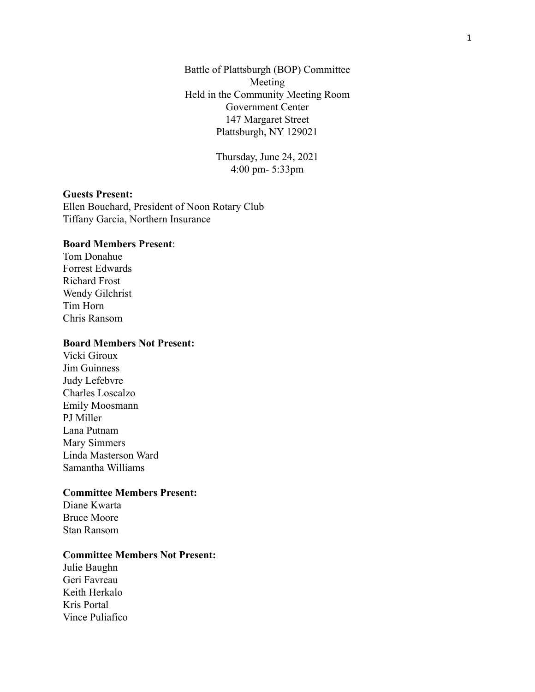Battle of Plattsburgh (BOP) Committee Meeting Held in the Community Meeting Room Government Center 147 Margaret Street Plattsburgh, NY 129021

> Thursday, June 24, 2021 4:00 pm- 5:33pm

### **Guests Present:**

Ellen Bouchard, President of Noon Rotary Club Tiffany Garcia, Northern Insurance

### **Board Members Present**:

Tom Donahue Forrest Edwards Richard Frost Wendy Gilchrist Tim Horn Chris Ransom

#### **Board Members Not Present:**

Vicki Giroux Jim Guinness Judy Lefebvre Charles Loscalzo Emily Moosmann PJ Miller Lana Putnam Mary Simmers Linda Masterson Ward Samantha Williams

# **Committee Members Present:**

Diane Kwarta Bruce Moore Stan Ransom

### **Committee Members Not Present:**

Julie Baughn Geri Favreau Keith Herkalo Kris Portal Vince Puliafico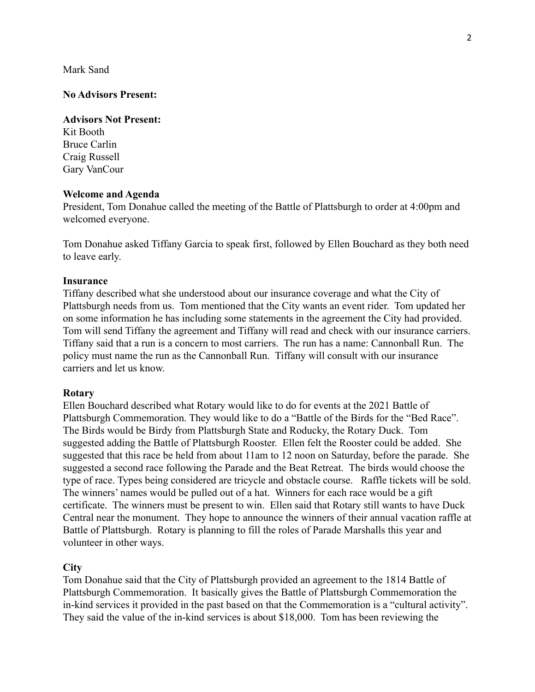Mark Sand

#### **No Advisors Present:**

#### **Advisors Not Present:**

Kit Booth Bruce Carlin Craig Russell Gary VanCour

#### **Welcome and Agenda**

President, Tom Donahue called the meeting of the Battle of Plattsburgh to order at 4:00pm and welcomed everyone.

Tom Donahue asked Tiffany Garcia to speak first, followed by Ellen Bouchard as they both need to leave early.

#### **Insurance**

Tiffany described what she understood about our insurance coverage and what the City of Plattsburgh needs from us. Tom mentioned that the City wants an event rider. Tom updated her on some information he has including some statements in the agreement the City had provided. Tom will send Tiffany the agreement and Tiffany will read and check with our insurance carriers. Tiffany said that a run is a concern to most carriers. The run has a name: Cannonball Run. The policy must name the run as the Cannonball Run. Tiffany will consult with our insurance carriers and let us know.

#### **Rotary**

Ellen Bouchard described what Rotary would like to do for events at the 2021 Battle of Plattsburgh Commemoration. They would like to do a "Battle of the Birds for the "Bed Race". The Birds would be Birdy from Plattsburgh State and Roducky, the Rotary Duck. Tom suggested adding the Battle of Plattsburgh Rooster. Ellen felt the Rooster could be added. She suggested that this race be held from about 11am to 12 noon on Saturday, before the parade. She suggested a second race following the Parade and the Beat Retreat. The birds would choose the type of race. Types being considered are tricycle and obstacle course. Raffle tickets will be sold. The winners' names would be pulled out of a hat. Winners for each race would be a gift certificate. The winners must be present to win. Ellen said that Rotary still wants to have Duck Central near the monument. They hope to announce the winners of their annual vacation raffle at Battle of Plattsburgh. Rotary is planning to fill the roles of Parade Marshalls this year and volunteer in other ways.

#### **City**

Tom Donahue said that the City of Plattsburgh provided an agreement to the 1814 Battle of Plattsburgh Commemoration. It basically gives the Battle of Plattsburgh Commemoration the in-kind services it provided in the past based on that the Commemoration is a "cultural activity". They said the value of the in-kind services is about \$18,000. Tom has been reviewing the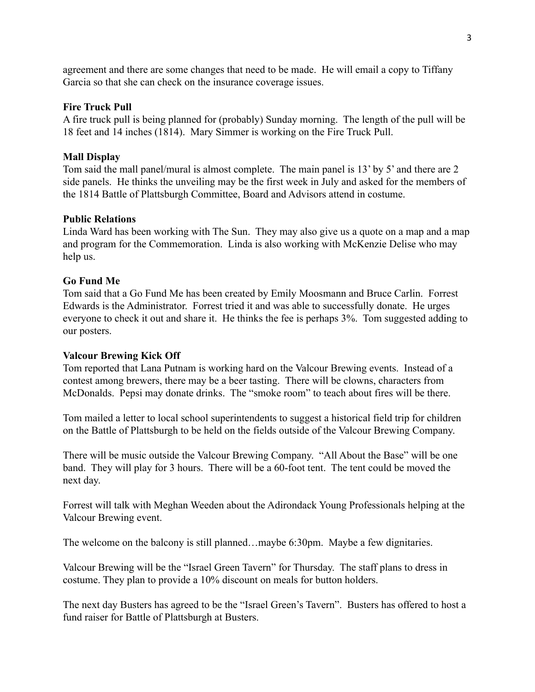agreement and there are some changes that need to be made. He will email a copy to Tiffany Garcia so that she can check on the insurance coverage issues.

### **Fire Truck Pull**

A fire truck pull is being planned for (probably) Sunday morning. The length of the pull will be 18 feet and 14 inches (1814). Mary Simmer is working on the Fire Truck Pull.

### **Mall Display**

Tom said the mall panel/mural is almost complete. The main panel is 13' by 5' and there are 2 side panels. He thinks the unveiling may be the first week in July and asked for the members of the 1814 Battle of Plattsburgh Committee, Board and Advisors attend in costume.

### **Public Relations**

Linda Ward has been working with The Sun. They may also give us a quote on a map and a map and program for the Commemoration. Linda is also working with McKenzie Delise who may help us.

### **Go Fund Me**

Tom said that a Go Fund Me has been created by Emily Moosmann and Bruce Carlin. Forrest Edwards is the Administrator. Forrest tried it and was able to successfully donate. He urges everyone to check it out and share it. He thinks the fee is perhaps 3%. Tom suggested adding to our posters.

#### **Valcour Brewing Kick Off**

Tom reported that Lana Putnam is working hard on the Valcour Brewing events. Instead of a contest among brewers, there may be a beer tasting. There will be clowns, characters from McDonalds. Pepsi may donate drinks. The "smoke room" to teach about fires will be there.

Tom mailed a letter to local school superintendents to suggest a historical field trip for children on the Battle of Plattsburgh to be held on the fields outside of the Valcour Brewing Company.

There will be music outside the Valcour Brewing Company. "All About the Base" will be one band. They will play for 3 hours. There will be a 60-foot tent. The tent could be moved the next day.

Forrest will talk with Meghan Weeden about the Adirondack Young Professionals helping at the Valcour Brewing event.

The welcome on the balcony is still planned…maybe 6:30pm. Maybe a few dignitaries.

Valcour Brewing will be the "Israel Green Tavern" for Thursday. The staff plans to dress in costume. They plan to provide a 10% discount on meals for button holders.

The next day Busters has agreed to be the "Israel Green's Tavern". Busters has offered to host a fund raiser for Battle of Plattsburgh at Busters.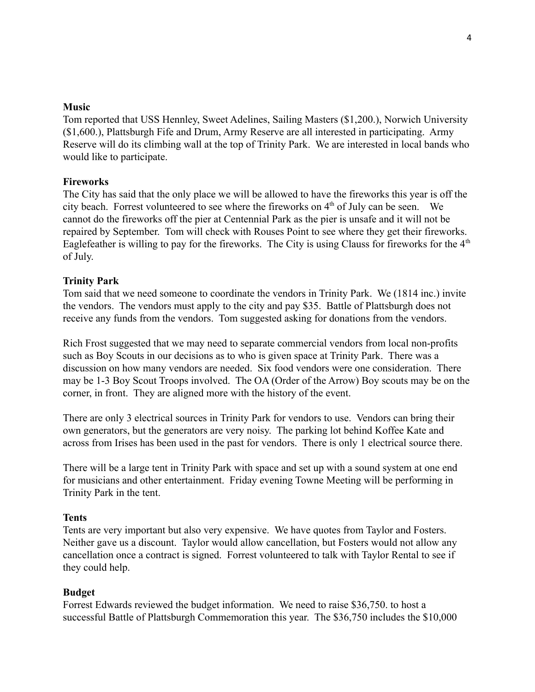#### **Music**

Tom reported that USS Hennley, Sweet Adelines, Sailing Masters (\$1,200.), Norwich University (\$1,600.), Plattsburgh Fife and Drum, Army Reserve are all interested in participating. Army Reserve will do its climbing wall at the top of Trinity Park. We are interested in local bands who would like to participate.

### **Fireworks**

The City has said that the only place we will be allowed to have the fireworks this year is off the city beach. Forrest volunteered to see where the fireworks on  $4<sup>th</sup>$  of July can be seen. We cannot do the fireworks off the pier at Centennial Park as the pier is unsafe and it will not be repaired by September. Tom will check with Rouses Point to see where they get their fireworks. Eaglefeather is willing to pay for the fireworks. The City is using Clauss for fireworks for the  $4<sup>th</sup>$ of July.

### **Trinity Park**

Tom said that we need someone to coordinate the vendors in Trinity Park. We (1814 inc.) invite the vendors. The vendors must apply to the city and pay \$35. Battle of Plattsburgh does not receive any funds from the vendors. Tom suggested asking for donations from the vendors.

Rich Frost suggested that we may need to separate commercial vendors from local non-profits such as Boy Scouts in our decisions as to who is given space at Trinity Park. There was a discussion on how many vendors are needed. Six food vendors were one consideration. There may be 1-3 Boy Scout Troops involved. The OA (Order of the Arrow) Boy scouts may be on the corner, in front. They are aligned more with the history of the event.

There are only 3 electrical sources in Trinity Park for vendors to use. Vendors can bring their own generators, but the generators are very noisy. The parking lot behind Koffee Kate and across from Irises has been used in the past for vendors. There is only 1 electrical source there.

There will be a large tent in Trinity Park with space and set up with a sound system at one end for musicians and other entertainment. Friday evening Towne Meeting will be performing in Trinity Park in the tent.

#### **Tents**

Tents are very important but also very expensive. We have quotes from Taylor and Fosters. Neither gave us a discount. Taylor would allow cancellation, but Fosters would not allow any cancellation once a contract is signed. Forrest volunteered to talk with Taylor Rental to see if they could help.

#### **Budget**

Forrest Edwards reviewed the budget information. We need to raise \$36,750. to host a successful Battle of Plattsburgh Commemoration this year. The \$36,750 includes the \$10,000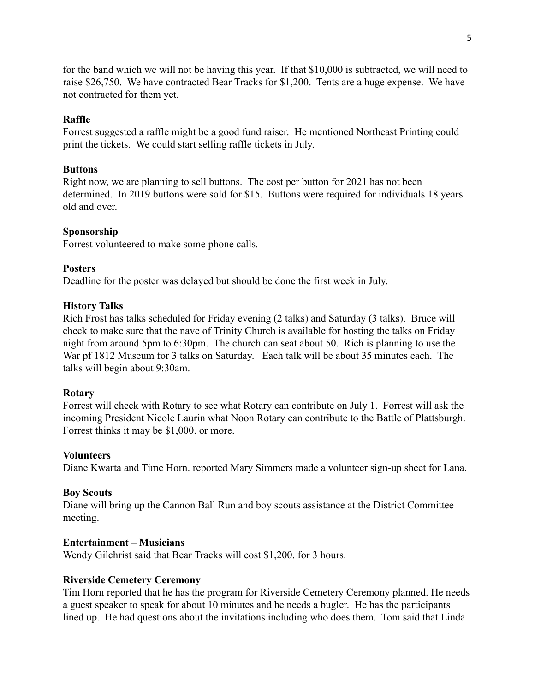for the band which we will not be having this year. If that \$10,000 is subtracted, we will need to raise \$26,750. We have contracted Bear Tracks for \$1,200. Tents are a huge expense. We have not contracted for them yet.

# **Raffle**

Forrest suggested a raffle might be a good fund raiser. He mentioned Northeast Printing could print the tickets. We could start selling raffle tickets in July.

#### **Buttons**

Right now, we are planning to sell buttons. The cost per button for 2021 has not been determined. In 2019 buttons were sold for \$15. Buttons were required for individuals 18 years old and over.

### **Sponsorship**

Forrest volunteered to make some phone calls.

#### **Posters**

Deadline for the poster was delayed but should be done the first week in July.

### **History Talks**

Rich Frost has talks scheduled for Friday evening (2 talks) and Saturday (3 talks). Bruce will check to make sure that the nave of Trinity Church is available for hosting the talks on Friday night from around 5pm to 6:30pm. The church can seat about 50. Rich is planning to use the War pf 1812 Museum for 3 talks on Saturday. Each talk will be about 35 minutes each. The talks will begin about 9:30am.

#### **Rotary**

Forrest will check with Rotary to see what Rotary can contribute on July 1. Forrest will ask the incoming President Nicole Laurin what Noon Rotary can contribute to the Battle of Plattsburgh. Forrest thinks it may be \$1,000. or more.

#### **Volunteers**

Diane Kwarta and Time Horn. reported Mary Simmers made a volunteer sign-up sheet for Lana.

#### **Boy Scouts**

Diane will bring up the Cannon Ball Run and boy scouts assistance at the District Committee meeting.

#### **Entertainment – Musicians**

Wendy Gilchrist said that Bear Tracks will cost \$1,200. for 3 hours.

#### **Riverside Cemetery Ceremony**

Tim Horn reported that he has the program for Riverside Cemetery Ceremony planned. He needs a guest speaker to speak for about 10 minutes and he needs a bugler. He has the participants lined up. He had questions about the invitations including who does them. Tom said that Linda